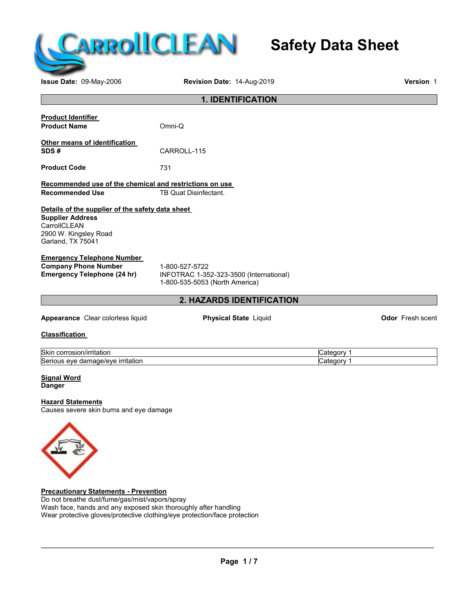

# **Safety Data Sheet**

**Issue Date:** 09-May-2006 **Revision Date:** 14-Aug-2019 **Version** 1

| <b>1. IDENTIFICATION</b>                                                                                                                  |                                                                                             |            |                         |
|-------------------------------------------------------------------------------------------------------------------------------------------|---------------------------------------------------------------------------------------------|------------|-------------------------|
| <b>Product Identifier</b><br><b>Product Name</b>                                                                                          | Omni-Q                                                                                      |            |                         |
| Other means of identification<br>SDS#                                                                                                     | CARROLL-115                                                                                 |            |                         |
| <b>Product Code</b>                                                                                                                       | 731                                                                                         |            |                         |
| Recommended use of the chemical and restrictions on use<br><b>Recommended Use</b>                                                         | TB Quat Disinfectant.                                                                       |            |                         |
| Details of the supplier of the safety data sheet<br><b>Supplier Address</b><br>CarrollCLEAN<br>2900 W. Kingsley Road<br>Garland, TX 75041 |                                                                                             |            |                         |
| <b>Emergency Telephone Number</b><br><b>Company Phone Number</b><br><b>Emergency Telephone (24 hr)</b>                                    | 1-800-527-5722<br>INFOTRAC 1-352-323-3500 (International)<br>1-800-535-5053 (North America) |            |                         |
|                                                                                                                                           | 2. HAZARDS IDENTIFICATION                                                                   |            |                         |
| Appearance Clear colorless liquid                                                                                                         | <b>Physical State Liquid</b>                                                                |            | <b>Odor</b> Fresh scent |
| <b>Classification</b>                                                                                                                     |                                                                                             |            |                         |
| Skin corrosion/irritation                                                                                                                 |                                                                                             | Category 1 |                         |
| Serious eye damage/eye irritation<br><b>Signal Word</b><br><b>Danger</b>                                                                  |                                                                                             | Category 1 |                         |
| <b>Hazard Statements</b><br>Causes severe skin burns and eye damage                                                                       |                                                                                             |            |                         |
|                                                                                                                                           |                                                                                             |            |                         |
| <b>Precautionary Statements - Prevention</b>                                                                                              |                                                                                             |            |                         |

**Precautionary Statements - Prevention** Do not breathe dust/fume/gas/mist/vapors/spray Wash face, hands and any exposed skin thoroughly after handling Wear protective gloves/protective clothing/eye protection/face protection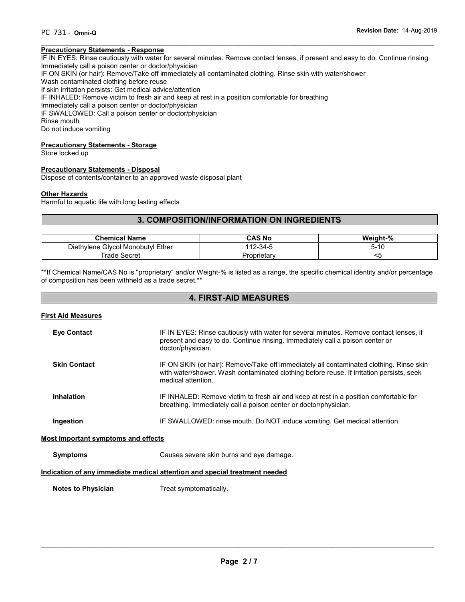#### $\overline{\phantom{a}}$  , and the contribution of the contribution of the contribution of the contribution of the contribution of the contribution of the contribution of the contribution of the contribution of the contribution of the **Precautionary Statements - Response**

IF IN EYES: Rinse cautiously with water for several minutes. Remove contact lenses, if present and easy to do. Continue rinsing Immediately call a poison center or doctor/physician

IF ON SKIN (or hair): Remove/Take off immediately all contaminated clothing. Rinse skin with water/shower

Wash contaminated clothing before reuse

If skin irritation persists: Get medical advice/attention

IF INHALED: Remove victim to fresh air and keep at rest in a position comfortable for breathing

Immediately call a poison center or doctor/physician

IF SWALLOWED: Call a poison center or doctor/physician

Rinse mouth

Do not induce vomiting

#### **Precautionary Statements - Storage**

Store locked up

#### **Precautionary Statements - Disposal**

Dispose of contents/container to an approved waste disposal plant

#### **Other Hazards**

Harmful to aquatic life with long lasting effects

# **3. COMPOSITION/INFORMATION ON INGREDIENTS**

| <b>Chemical Name</b>                   | CAS No           | Weight-%             |
|----------------------------------------|------------------|----------------------|
| Glycol Monobutyl Ether<br>Diethylene ' | 112-34-5         | $\overline{a}$<br>ຕ- |
| ⊺rade<br>Secret                        | ∍oprietar∨<br>Ρr |                      |

\*\*If Chemical Name/CAS No is "proprietary" and/or Weight-% is listed as a range, the specific chemical identity and/or percentage of composition has been withheld as a trade secret.\*\*

# **4. FIRST-AID MEASURES**

#### **First Aid Measures**

| <b>Eye Contact</b>                                                         | IF IN EYES: Rinse cautiously with water for several minutes. Remove contact lenses, if<br>present and easy to do. Continue rinsing. Immediately call a poison center or<br>doctor/physician.              |  |
|----------------------------------------------------------------------------|-----------------------------------------------------------------------------------------------------------------------------------------------------------------------------------------------------------|--|
| <b>Skin Contact</b>                                                        | IF ON SKIN (or hair): Remove/Take off immediately all contaminated clothing. Rinse skin<br>with water/shower. Wash contaminated clothing before reuse. If irritation persists, seek<br>medical attention. |  |
| <b>Inhalation</b>                                                          | IF INHALED: Remove victim to fresh air and keep at rest in a position comfortable for<br>breathing. Immediately call a poison center or doctor/physician.                                                 |  |
| Ingestion                                                                  | IF SWALLOWED: rinse mouth. Do NOT induce vomiting. Get medical attention.                                                                                                                                 |  |
| <b>Most important symptoms and effects</b>                                 |                                                                                                                                                                                                           |  |
| <b>Symptoms</b>                                                            | Causes severe skin burns and eye damage.                                                                                                                                                                  |  |
| Indication of any immediate medical attention and special treatment needed |                                                                                                                                                                                                           |  |
| <b>Notes to Physician</b>                                                  | Treat symptomatically.                                                                                                                                                                                    |  |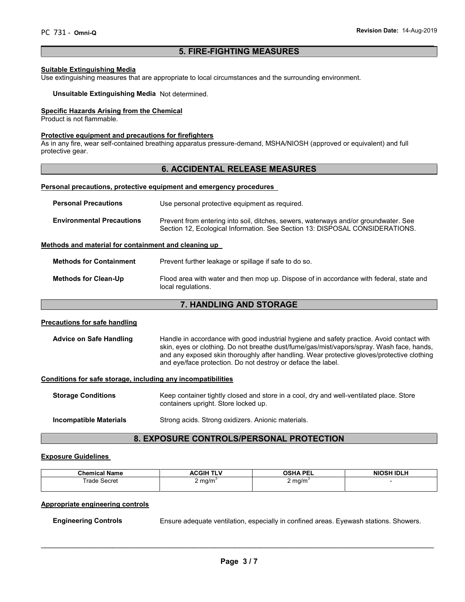# **5. FIRE-FIGHTING MEASURES**

 $\overline{\phantom{a}}$  , and the contribution of the contribution of the contribution of the contribution of the contribution of the contribution of the contribution of the contribution of the contribution of the contribution of the

#### **Suitable Extinguishing Media**

Use extinguishing measures that are appropriate to local circumstances and the surrounding environment.

**Unsuitable Extinguishing Media** Not determined.

#### **Specific Hazards Arising from the Chemical**

Product is not flammable.

#### **Protective equipment and precautions for firefighters**

As in any fire, wear self-contained breathing apparatus pressure-demand, MSHA/NIOSH (approved or equivalent) and full protective gear.

# **6. ACCIDENTAL RELEASE MEASURES**

#### **Personal precautions, protective equipment and emergency procedures**

| <b>Personal Precautions</b>      | Use personal protective equipment as required.                                                                                                                      |
|----------------------------------|---------------------------------------------------------------------------------------------------------------------------------------------------------------------|
| <b>Environmental Precautions</b> | Prevent from entering into soil, ditches, sewers, waterways and/or groundwater. See<br>Section 12, Ecological Information. See Section 13: DISPOSAL CONSIDERATIONS. |

#### **Methods and material for containment and cleaning up**

**Methods for Containment** Prevent further leakage or spillage if safe to do so.

**Methods for Clean-Up** Flood area with water and then mop up. Dispose of in accordance with federal, state and local regulations.

### **7. HANDLING AND STORAGE**

#### **Precautions for safe handling**

Advice on Safe Handling **Handle in accordance with good industrial hygiene and safety practice. Avoid contact with** skin, eyes or clothing. Do not breathe dust/fume/gas/mist/vapors/spray. Wash face, hands, and any exposed skin thoroughly after handling. Wear protective gloves/protective clothing and eye/face protection. Do not destroy or deface the label.

#### **Conditions for safe storage, including any incompatibilities**

| <b>Storage Conditions</b> | Keep container tightly closed and store in a cool, dry and well-ventilated place. Store<br>containers upright. Store locked up. |
|---------------------------|---------------------------------------------------------------------------------------------------------------------------------|
|                           |                                                                                                                                 |

**Incompatible Materials** Strong acids. Strong oxidizers. Anionic materials.

# **8. EXPOSURE CONTROLS/PERSONAL PROTECTION**

#### **Exposure Guidelines**

| .<br><b>Chemical Name</b> | <b>ACGIH</b><br><b>CLAP</b><br>ים ו | <b>OSHA PEL</b><br>--- | <b>NIOSH IDLH</b> |
|---------------------------|-------------------------------------|------------------------|-------------------|
| rade                      | . mg/m $\degree$                    | mq/m <sup>3</sup>      |                   |
| Secret                    | $\cdot$                             | -                      |                   |
| .                         |                                     |                        |                   |
|                           |                                     | $\cdot$                |                   |

#### **Appropriate engineering controls**

**Engineering Controls** Ensure adequate ventilation, especially in confined areas. Eyewash stations. Showers.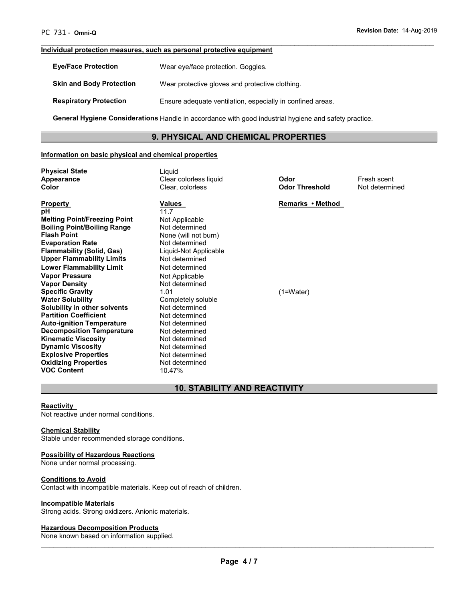#### **Individual protection measures, such as personal protective equipment**

| <b>Eve/Face Protection</b>      | Wear eye/face protection. Goggles.                         |
|---------------------------------|------------------------------------------------------------|
| <b>Skin and Body Protection</b> | Wear protective gloves and protective clothing.            |
| <b>Respiratory Protection</b>   | Ensure adequate ventilation, especially in confined areas. |

**General Hygiene Considerations** Handle in accordance with good industrial hygiene and safety practice.

# **9. PHYSICAL AND CHEMICAL PROPERTIES**

 $\overline{\phantom{a}}$  , and the contribution of the contribution of the contribution of the contribution of the contribution of the contribution of the contribution of the contribution of the contribution of the contribution of the

### **Information on basic physical and chemical properties**

| <b>Physical State</b><br><b>Appearance</b>                                                      | Liquid<br>Clear colorless liquid                          | Odor                  | Fresh scent<br>Not determined |
|-------------------------------------------------------------------------------------------------|-----------------------------------------------------------|-----------------------|-------------------------------|
| Color                                                                                           | Clear, colorless                                          | <b>Odor Threshold</b> |                               |
| <b>Property</b><br>рH                                                                           | Values<br>11.7                                            | Remarks • Method      |                               |
| <b>Melting Point/Freezing Point</b><br><b>Boiling Point/Boiling Range</b><br><b>Flash Point</b> | Not Applicable<br>Not determined<br>None (will not burn)  |                       |                               |
| <b>Evaporation Rate</b><br><b>Flammability (Solid, Gas)</b><br><b>Upper Flammability Limits</b> | Not determined<br>Liquid-Not Applicable<br>Not determined |                       |                               |
| <b>Lower Flammability Limit</b>                                                                 | Not determined                                            |                       |                               |
| <b>Vapor Pressure</b><br><b>Vapor Density</b>                                                   | Not Applicable<br>Not determined                          |                       |                               |
| <b>Specific Gravity</b><br><b>Water Solubility</b>                                              | 1.01<br>Completely soluble                                | $(1=Water)$           |                               |
| Solubility in other solvents<br><b>Partition Coefficient</b>                                    | Not determined<br>Not determined                          |                       |                               |
| <b>Auto-ignition Temperature</b><br><b>Decomposition Temperature</b>                            | Not determined<br>Not determined                          |                       |                               |
| <b>Kinematic Viscosity</b><br><b>Dynamic Viscosity</b><br><b>Explosive Properties</b>           | Not determined<br>Not determined<br>Not determined        |                       |                               |
| <b>Oxidizing Properties</b><br><b>VOC Content</b>                                               | Not determined<br>10.47%                                  |                       |                               |

# **10. STABILITY AND REACTIVITY**

#### **Reactivity**

Not reactive under normal conditions.

#### **Chemical Stability**

Stable under recommended storage conditions.

#### **Possibility of Hazardous Reactions**

None under normal processing.

#### **Conditions to Avoid**

Contact with incompatible materials. Keep out of reach of children.

#### **Incompatible Materials**

Strong acids. Strong oxidizers. Anionic materials.

#### **Hazardous Decomposition Products**

None known based on information supplied.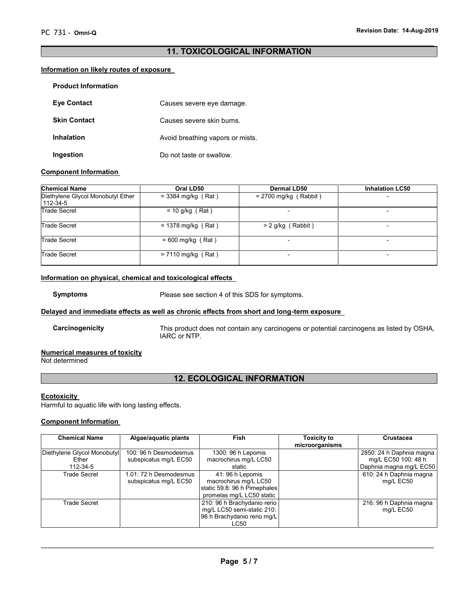# **11. TOXICOLOGICAL INFORMATION**

 $\overline{\phantom{a}}$  , and the contribution of the contribution of the contribution of the contribution of the contribution of the contribution of the contribution of the contribution of the contribution of the contribution of the

#### **Information on likely routes of exposure**

| <b>Product Information</b> |                                  |
|----------------------------|----------------------------------|
| <b>Eve Contact</b>         | Causes severe eye damage.        |
| <b>Skin Contact</b>        | Causes severe skin burns.        |
| <b>Inhalation</b>          | Avoid breathing vapors or mists. |
| Ingestion                  | Do not taste or swallow.         |

#### **Component Information**

| <b>Chemical Name</b>                          | Oral LD50            | <b>Dermal LD50</b>      | <b>Inhalation LC50</b>   |
|-----------------------------------------------|----------------------|-------------------------|--------------------------|
| Diethylene Glycol Monobutyl Ether<br>112-34-5 | $= 3384$ mg/kg (Rat) | $= 2700$ mg/kg (Rabbit) | $\overline{\phantom{a}}$ |
| <b>Trade Secret</b>                           | $= 10$ g/kg (Rat)    |                         |                          |
| Trade Secret                                  | $= 1378$ mg/kg (Rat) | $> 2$ g/kg (Rabbit)     | -                        |
| Trade Secret                                  | $= 600$ mg/kg (Rat)  |                         |                          |
| Trade Secret                                  | $= 7110$ mg/kg (Rat) |                         |                          |

# **Information on physical, chemical and toxicological effects**

**Symptoms** Please see section 4 of this SDS for symptoms.

### **Delayed and immediate effects as well as chronic effects from short and long-term exposure**

**Carcinogenicity** This product does not contain any carcinogens or potential carcinogens as listed by OSHA, IARC or NTP.

#### **Numerical measures of toxicity**

Not determined

# **12. ECOLOGICAL INFORMATION**

#### **Ecotoxicity**

Harmful to aquatic life with long lasting effects.

#### **Component Information**

| <b>Chemical Name</b>                             | Algae/aquatic plants                            | Fish                                                                                                   | <b>Toxicity to</b><br>microorganisms | <b>Crustacea</b>                                                           |
|--------------------------------------------------|-------------------------------------------------|--------------------------------------------------------------------------------------------------------|--------------------------------------|----------------------------------------------------------------------------|
| Diethylene Glycol Monobutyl<br>Ether<br>112-34-5 | 100: 96 h Desmodesmus<br>subspicatus mg/L EC50  | 1300: 96 h Lepomis<br>macrochirus mg/L LC50<br>static                                                  |                                      | 2850: 24 h Daphnia magna<br>mg/L EC50 100: 48 h<br>Daphnia magna mg/L EC50 |
| Trade Secret                                     | 1.01: 72 h Desmodesmus<br>subspicatus mg/L EC50 | 41: 96 h Lepomis<br>macrochirus mg/L LC50<br>static 59.8: 96 h Pimephales<br>promelas mg/L LC50 static |                                      | 610: 24 h Daphnia magna<br>mg/L EC50                                       |
| Trade Secret                                     |                                                 | 210: 96 h Brachydanio rerio<br>mg/L LC50 semi-static 210:<br>96 h Brachydanio rerio mg/L<br>LC50       |                                      | 216: 96 h Daphnia magna<br>mg/L EC50                                       |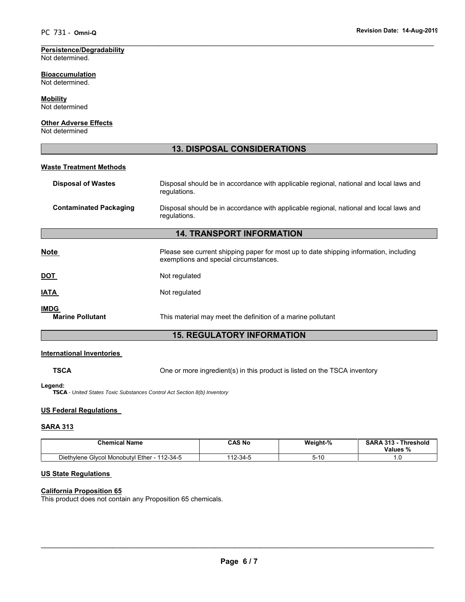#### **Persistence/Degradability** Not determined.

**Bioaccumulation** Not determined.

**Mobility**

Not determined

# **Other Adverse Effects**

Not determined

# **13. DISPOSAL CONSIDERATIONS**

 $\overline{\phantom{a}}$  , and the contribution of the contribution of the contribution of the contribution of the contribution of the contribution of the contribution of the contribution of the contribution of the contribution of the

# **Waste Treatment Methods**

| <b>Disposal of Wastes</b>              | Disposal should be in accordance with applicable regional, national and local laws and<br>regulations.                         |  |
|----------------------------------------|--------------------------------------------------------------------------------------------------------------------------------|--|
| <b>Contaminated Packaging</b>          | Disposal should be in accordance with applicable regional, national and local laws and<br>regulations.                         |  |
|                                        | <b>14. TRANSPORT INFORMATION</b>                                                                                               |  |
| <b>Note</b>                            | Please see current shipping paper for most up to date shipping information, including<br>exemptions and special circumstances. |  |
| <u>DOT</u>                             | Not regulated                                                                                                                  |  |
| <b>ATAI</b>                            | Not regulated                                                                                                                  |  |
| <b>IMDG</b><br><b>Marine Pollutant</b> | This material may meet the definition of a marine pollutant                                                                    |  |

# **15. REGULATORY INFORMATION**

# **International Inventories**

**TSCA** One or more ingredient(s) in this product is listed on the TSCA inventory

**Legend:**

*TSCA - United States Toxic Substances Control Act Section 8(b) Inventory*

# **US Federal Regulations**

# **SARA 313**

| <b>Chemical Name</b>                                                                 | CAS No     | Weight-% | <b>SARA 313</b><br><b>Threshold</b><br>Values %<br>70 |
|--------------------------------------------------------------------------------------|------------|----------|-------------------------------------------------------|
| . Givcol Monobutvi Ether<br>12-34-5<br>110<br>Diethylene<br>$\overline{\phantom{0}}$ | 10<br>-34- | ъ.<br>u  | . .                                                   |

# **US State Regulations**

# **California Proposition 65**

This product does not contain any Proposition 65 chemicals.